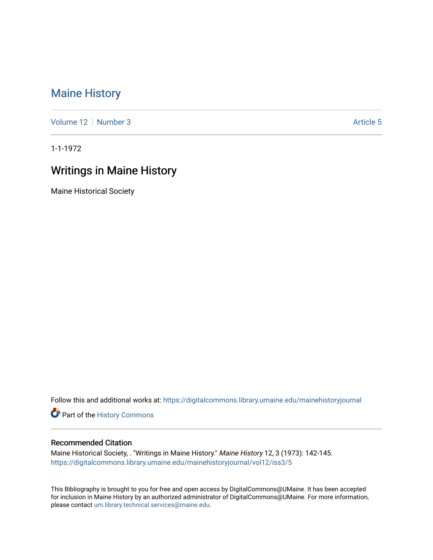## [Maine History](https://digitalcommons.library.umaine.edu/mainehistoryjournal)

[Volume 12](https://digitalcommons.library.umaine.edu/mainehistoryjournal/vol12) [Number 3](https://digitalcommons.library.umaine.edu/mainehistoryjournal/vol12/iss3) [Article 5](https://digitalcommons.library.umaine.edu/mainehistoryjournal/vol12/iss3/5) Article 5

1-1-1972

## Writings in Maine History

Maine Historical Society

Follow this and additional works at: [https://digitalcommons.library.umaine.edu/mainehistoryjournal](https://digitalcommons.library.umaine.edu/mainehistoryjournal?utm_source=digitalcommons.library.umaine.edu%2Fmainehistoryjournal%2Fvol12%2Fiss3%2F5&utm_medium=PDF&utm_campaign=PDFCoverPages) 

Part of the [History Commons](http://network.bepress.com/hgg/discipline/489?utm_source=digitalcommons.library.umaine.edu%2Fmainehistoryjournal%2Fvol12%2Fiss3%2F5&utm_medium=PDF&utm_campaign=PDFCoverPages) 

## Recommended Citation

Maine Historical Society, . "Writings in Maine History." Maine History 12, 3 (1973): 142-145. [https://digitalcommons.library.umaine.edu/mainehistoryjournal/vol12/iss3/5](https://digitalcommons.library.umaine.edu/mainehistoryjournal/vol12/iss3/5?utm_source=digitalcommons.library.umaine.edu%2Fmainehistoryjournal%2Fvol12%2Fiss3%2F5&utm_medium=PDF&utm_campaign=PDFCoverPages)

This Bibliography is brought to you for free and open access by DigitalCommons@UMaine. It has been accepted for inclusion in Maine History by an authorized administrator of DigitalCommons@UMaine. For more information, please contact [um.library.technical.services@maine.edu.](mailto:um.library.technical.services@maine.edu)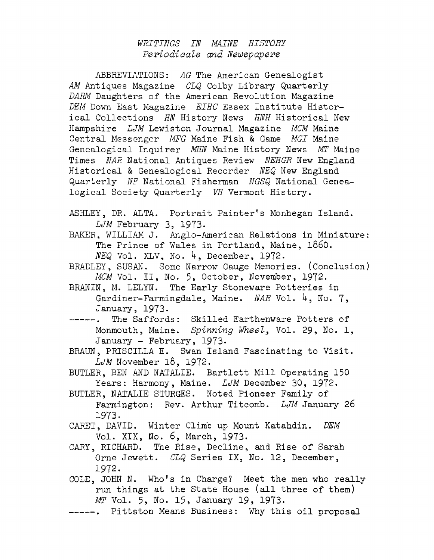## *WRITINGS IN MAINE History Periodicals and Newspapers*

ABBREVIATIONS: *AG* The American Genealogist *AM* Antiques Magazine *CLQ* Colby Library Quarterly *DARM* Daughters of the American Revolution Magazine *DEM* Down East Magazine *EIHC* Essex Institute Historical Collections *HN* History News *HNH* Historical New Hampshire *LJM* Lewiston Journal Magazine *MCM* Maine Central Messenger *MEG* Maine Fish & Game *MGI* Maine Genealogical Inquirer *MHN* Maine History News *MT* Maine Times *NAR* National Antiques Review *NEHGR* New England Historical & Genealogical Recorder *NEQ* New England Quarterly *NF* National Fisherman *NGSQ* National Genealogical Society Quarterly *VH* Vermont History.

ASHLEY, DR. ALTA. Portrait Painter'<sup>s</sup> Monhegan Island. *LJM* February 3, 1973.

BAKER, WILLIAM J. Anglo-American Relations in Miniature: The Prince of Wales in Portland, Maine, 1860. *NEQ* Vol. XLV, No. 4, December, 1972.

BRADLEY, SUSAN. Some Narrow Gauge Memories. (Conclusion) *MCM* Vol. II, No. 5, October, November, 1972.

BRANIN, M. LELYN. The Early Stoneware Potteries in Gardiner-Farmingdale, Maine. *NAR* Vol. 4, No. 7, January, 1973.

-----. The Saffords: Skilled Earthenware Potters of Monmouth, Maine. *Spinning Wheel<sup>&</sup>gt;* Vol. 29, No. 1, January - February, 1973.

BRAUN, PRISCILLA E. Swan Island Fascinating to Visit. *LJM* November 18, 1972.

BUTLER, BEN AND NATALIE. Bartlett Mill Operating 150 Years; Harmony, Maine. *LJM* December 30, 1972.

BUTLER, NATALIE STURGES. Noted Pioneer Family of Farmington: Rev. Arthur Titcomb. *LJM* January 26 1973.

CARET, DAVID. Winter Climb up Mount Katahdin. *DEM* Vol. XIX, No. 6, March, 1973.

CARY, RICHARD. The Rise, Decline, and Rise of Sarah Orne Jewett. *CLQ* Series IX, No. 12, December, 1972.

COLE, JOHN N. Who's in Charge? Meet the men who really run things at the State House (all three of them) *MT* Vol. 5» No. 15, January 19, 1973.

--------, Pittston Means Business: Why this oil proposal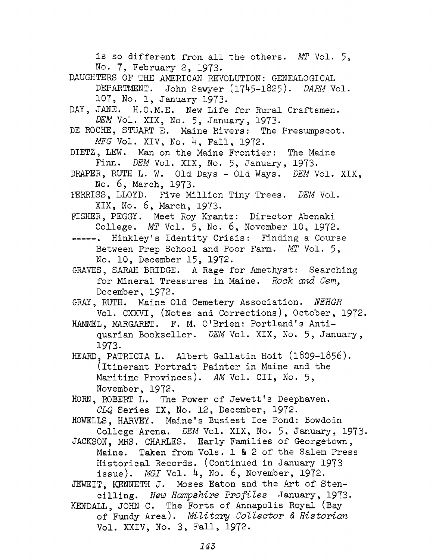is so different from all the others. *MT* Vol. 5, No. 7, February 2, 1973. DAUGHTERS OF THE AMERICAN REVOLUTION: GENEALOGICAL DEPARTMENT. John Sawyer (1745-1825). *DARM* Vol. 107, No. 1, January 1973. DAY, JANE. H.O.M.E. New Life for Rural Craftsmen. *DEM* Vol. XIX, No. 5, January, 1973. DE ROCHE, STUART E. Maine Rivers: The Presumpscot. *MFG* Vol. XIV, No. 4, Fall, 1972. DIETZ, LEW. Man on the Maine Frontier: The Maine Finn. *DEM* Vol. XIX, No. 5, January, 1973. DRAPER, RUTH L. W. Old Days - Old Ways. *DEM* Vol. XIX, No. 6, March, 1973. FERRISS, LLOYD. Five Million Tiny Trees. *DEM* Vol. XIX, No. 6, March, 1973. FISHER, PEGGY. Meet Roy Krantz: Director Abenaki College. *MT* Vol. 5, No. 6, November 10, 1972. -----. Hinkley's Identity Crisis: Finding a Course Between Prep School and Poor Farm. *MT* Vol. 5, No. 10, December 15, 1972. GRAVES, SARAH BRIDGE. <sup>A</sup> Rage for Amethyst: Searching for Mineral Treasures in Maine. *Rock and Gem<sup>3</sup>* December, 1972. GRAY, RUTH. Maine Old Cemetery Association. *NEHGR* Vol. CXXVT, (Notes and Corrections), October, 1972. HAMMEL, MARGARET. F. M. O'Brien: Portland's Antiquarian Bookseller. *DEM* Vol. XIX, No. 5, January, 1973. HEARD, PATRICIA L. Albert Gallatin Hoit (1809-1856). (itinerant Portrait Painter in Maine and the Maritime Provinces). *AM* Vol. CII, No. 5, November, 1972. HORN, ROBERT L. The Power of Jewett's Deephaven. *CLQ* Series IX, No. 12, December, 1972. HOWELLS, HARVEY. Maine's Busiest Ice Pond: Bowdoin College Arena. *DEM* Vol. XIX, No. 5, January, 1973. JACKSON, MRS. CHARLES. Early Families of Georgetown, Maine. Taken from Vols. 1 & 2 of the Salem Press Historical Records. (Continued in January 1973 issue). *MGI* Vol. 4, No. 6, November, 1972. JEWETT, KENNETH J. Moses Eaton and the Art of Stencilling. *New Hamp8hire Profiles* January, 1973. KENDALL, JOHN C. The Forts of Annapolis Royal (Bay of Fundy Area). *Military Collector & Historian*

Vol. XXIV, No. 3, Fall, 1972.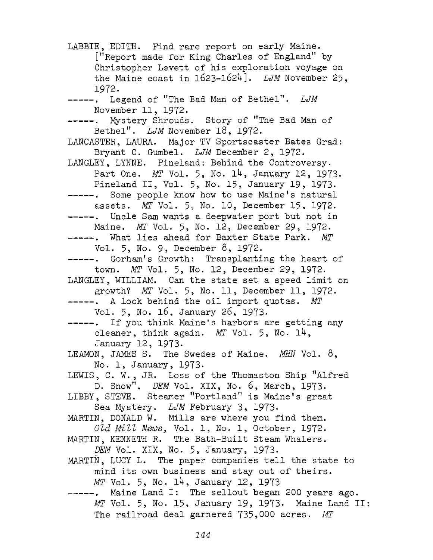LABBIE, EDITH. Find rare report on early Maine. [''Report made for King Charles of England" by Christopher Levett of his exploration voyage on the Maine coast in 1623-1624]. *LJM* November 25, 1972. --------. Legend of "The Bad Man of Bethel". *LJM* November 11, 1972. --------. Mystery Shrouds. Story of "The Bad Man of Bethel". *LJM* November 18, 1972. LANCASTER, LAURA. Major TV Sportscaster Bates Grad: Bryant C. Gumbel. *LJM* December 2, 1972. LANGLEY, LYNNE. Pineland: Behind the Controversy. Part One. *MT* Vol. 5, No. 14, January 12, 1973. Pineland II, Vol. 5, No. 15, January 19, 1973. --------. Some people know how to use Maine's natural assets. *MT* Vol. 5, No. 10, December 15, 1972. -----. Uncle Sam wants a deepwater port but not in Maine. *MT* Vol. 5, No. 12, December 29, 1972. --------. What lies ahead for Baxter State Park. *MT* Vol. 5, No. 9, December 8, 1972. --------. Gorham'<sup>s</sup> Growth: Transplanting the heart of town. *MT* Vol. 5, No. 12, December 29, 1972. LANGLEY, WILLIAM. Can the state set a speed limit on growth? *MT* Vol. 5, No. 11, December 11, 1972. --------. <sup>A</sup> look behind the oil import quotas. *MT* Vol. 5, No. 16, January 26, 1973. -----. If you think Maine's harbors are getting any cleaner, think again. *MT* Vol. 5, No. 1H, January 12, 1973. LEAMON, JAMES S. The Swedes of Maine. *MW* Vol. 8, No. 1, January, 1973. LEWIS, C. W. , JR. Loss of the Thomaston Ship "Alfred D. Snow". *DEM* Vol. XIX, No. 6, March, 1973. LIBBY, STEVE. Steamer "Portland" is Maine's great Sea Mystery. *LJM* February 3, 1973- MARTIN, DONALD W. Mills are where you find them. *Old Mill News\** Vol. 1, No. 1, October, 1972. MARTIN, KENNETH R. The Bath-Built Steam Whalers. *DEM* Vol. XIX, No. 5, January, 1973. MARTIN, LUCY L. The paper companies tell the state to mind its own business and stay out of theirs. *MT* Vol. 5, No. 14, January 12, 1973 -----. Maine Land I: The sellout began 200 years ago. *MT* Vol. 5, No. 15, January 19, 1973. Maine Land II: The railroad deal garnered 735,000 acres. *MT*